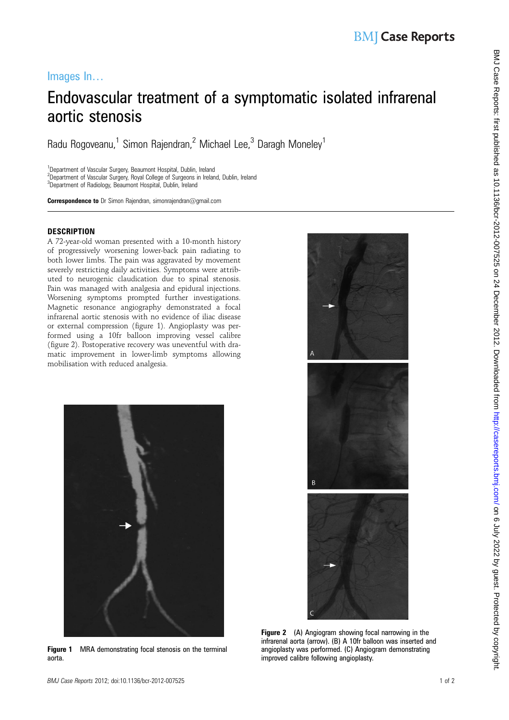## Images In…

# Endovascular treatment of a symptomatic isolated infrarenal aortic stenosis

Radu Rogoveanu,<sup>1</sup> Simon Rajendran,<sup>2</sup> Michael Lee,<sup>3</sup> Daragh Moneley<sup>1</sup>

<sup>1</sup>Department of Vascular Surgery, Beaumont Hospital, Dublin, Ireland <sup>2</sup>Department of Vascular Surgery, Royal College of Surgeons in Ireland, Dublin, Ireland <sup>3</sup>Department of Radiology, Beaumont Hospital, Dublin, Ireland

Correspondence to Dr Simon Rajendran, simonrajendran@gmail.com

### **DESCRIPTION**

A 72-year-old woman presented with a 10-month history of progressively worsening lower-back pain radiating to both lower limbs. The pain was aggravated by movement severely restricting daily activities. Symptoms were attributed to neurogenic claudication due to spinal stenosis. Pain was managed with analgesia and epidural injections. Worsening symptoms prompted further investigations. Magnetic resonance angiography demonstrated a focal infrarenal aortic stenosis with no evidence of iliac disease or external compression (figure 1). Angioplasty was performed using a 10fr balloon improving vessel calibre (figure 2). Postoperative recovery was uneventful with dramatic improvement in lower-limb symptoms allowing mobilisation with reduced analgesia.



Figure 1 MRA demonstrating focal stenosis on the terminal aorta.



Figure 2 (A) Angiogram showing focal narrowing in the infrarenal aorta (arrow). (B) A 10fr balloon was inserted and angioplasty was performed. (C) Angiogram demonstrating improved calibre following angioplasty.